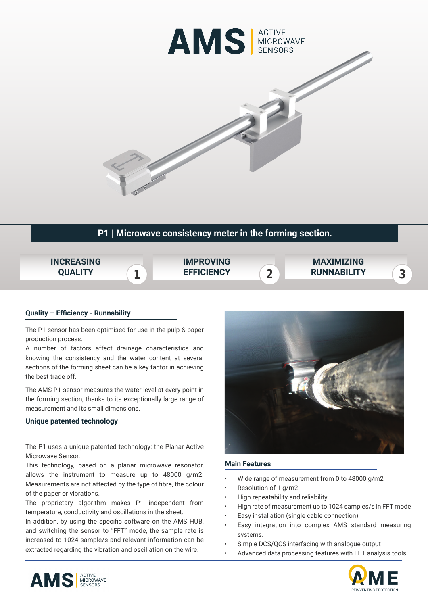

# **P1 | Microwave consistency meter in the forming section.**



# **Quality – Efficiency - Runnability**

The P1 sensor has been optimised for use in the pulp & paper production process.

A number of factors affect drainage characteristics and knowing the consistency and the water content at several sections of the forming sheet can be a key factor in achieving the best trade off.

The AMS P1 sensor measures the water level at every point in the forming section, thanks to its exceptionally large range of measurement and its small dimensions.

### **Unique patented technology**

The P1 uses a unique patented technology: the Planar Active Microwave Sensor.

This technology, based on a planar microwave resonator, allows the instrument to measure up to 48000 g/m2. Measurements are not affected by the type of fibre, the colour of the paper or vibrations.

The proprietary algorithm makes P1 independent from temperature, conductivity and oscillations in the sheet.

In addition, by using the specific software on the AMS HUB, and switching the sensor to "FFT" mode, the sample rate is increased to 1024 sample/s and relevant information can be extracted regarding the vibration and oscillation on the wire.



#### **Main Features**

- Wide range of measurement from 0 to 48000 g/m2
- Resolution of 1 g/m2
- High repeatability and reliability
- High rate of measurement up to 1024 samples/s in FFT mode
- Easy installation (single cable connection)
- Easy integration into complex AMS standard measuring systems.
- Simple DCS/QCS interfacing with analogue output
- Advanced data processing features with FFT analysis tools